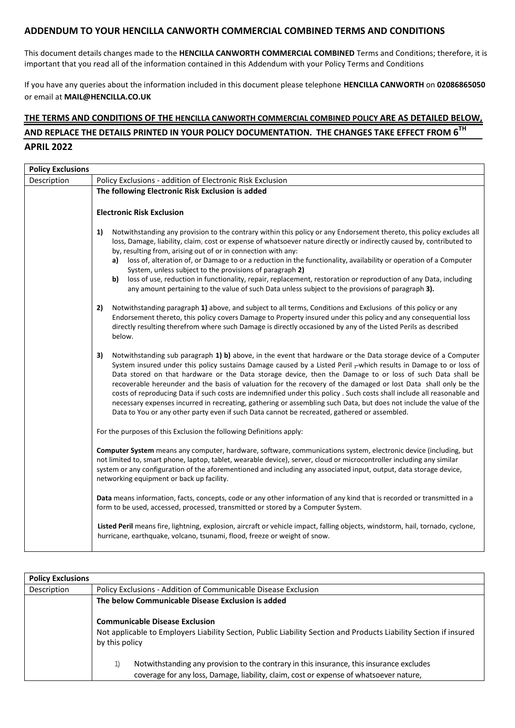## **ADDENDUM TO YOUR HENCILLA CANWORTH COMMERCIAL COMBINED TERMS AND CONDITIONS**

This document details changes made to the **HENCILLA CANWORTH COMMERCIAL COMBINED** Terms and Conditions; therefore, it is important that you read all of the information contained in this Addendum with your Policy Terms and Conditions

If you have any queries about the information included in this document please telephone **HENCILLA CANWORTH** on **02086865050** or email at **MAIL@HENCILLA.CO.UK**

## **THE TERMS AND CONDITIONS OF THE HENCILLA CANWORTH COMMERCIAL COMBINED POLICY ARE AS DETAILED BELOW, AND REPLACE THE DETAILS PRINTED IN YOUR POLICY DOCUMENTATION. THE CHANGES TAKE EFFECT FROM 6 TH APRIL 2022**

| <b>Policy Exclusions</b> |                                                                                                                                                                                                                                                                                                                                                                                                                                                                                                                                                                                                                                                                                                                                                                                                                            |  |  |  |  |
|--------------------------|----------------------------------------------------------------------------------------------------------------------------------------------------------------------------------------------------------------------------------------------------------------------------------------------------------------------------------------------------------------------------------------------------------------------------------------------------------------------------------------------------------------------------------------------------------------------------------------------------------------------------------------------------------------------------------------------------------------------------------------------------------------------------------------------------------------------------|--|--|--|--|
| Description              | Policy Exclusions - addition of Electronic Risk Exclusion                                                                                                                                                                                                                                                                                                                                                                                                                                                                                                                                                                                                                                                                                                                                                                  |  |  |  |  |
|                          | The following Electronic Risk Exclusion is added                                                                                                                                                                                                                                                                                                                                                                                                                                                                                                                                                                                                                                                                                                                                                                           |  |  |  |  |
|                          |                                                                                                                                                                                                                                                                                                                                                                                                                                                                                                                                                                                                                                                                                                                                                                                                                            |  |  |  |  |
|                          | <b>Electronic Risk Exclusion</b>                                                                                                                                                                                                                                                                                                                                                                                                                                                                                                                                                                                                                                                                                                                                                                                           |  |  |  |  |
|                          | 1)<br>Notwithstanding any provision to the contrary within this policy or any Endorsement thereto, this policy excludes all<br>loss, Damage, liability, claim, cost or expense of whatsoever nature directly or indirectly caused by, contributed to<br>by, resulting from, arising out of or in connection with any:<br>a) loss of, alteration of, or Damage to or a reduction in the functionality, availability or operation of a Computer<br>System, unless subject to the provisions of paragraph 2)                                                                                                                                                                                                                                                                                                                  |  |  |  |  |
|                          | loss of use, reduction in functionality, repair, replacement, restoration or reproduction of any Data, including<br>b)<br>any amount pertaining to the value of such Data unless subject to the provisions of paragraph 3).                                                                                                                                                                                                                                                                                                                                                                                                                                                                                                                                                                                                |  |  |  |  |
|                          | Notwithstanding paragraph 1) above, and subject to all terms, Conditions and Exclusions of this policy or any<br>2)<br>Endorsement thereto, this policy covers Damage to Property insured under this policy and any consequential loss<br>directly resulting therefrom where such Damage is directly occasioned by any of the Listed Perils as described<br>below.                                                                                                                                                                                                                                                                                                                                                                                                                                                         |  |  |  |  |
|                          | 3)<br>Notwithstanding sub paragraph 1) b) above, in the event that hardware or the Data storage device of a Computer<br>System insured under this policy sustains Damage caused by a Listed Peril -which results in Damage to or loss of<br>Data stored on that hardware or the Data storage device, then the Damage to or loss of such Data shall be<br>recoverable hereunder and the basis of valuation for the recovery of the damaged or lost Data shall only be the<br>costs of reproducing Data if such costs are indemnified under this policy . Such costs shall include all reasonable and<br>necessary expenses incurred in recreating, gathering or assembling such Data, but does not include the value of the<br>Data to You or any other party even if such Data cannot be recreated, gathered or assembled. |  |  |  |  |
|                          | For the purposes of this Exclusion the following Definitions apply:                                                                                                                                                                                                                                                                                                                                                                                                                                                                                                                                                                                                                                                                                                                                                        |  |  |  |  |
|                          | Computer System means any computer, hardware, software, communications system, electronic device (including, but<br>not limited to, smart phone, laptop, tablet, wearable device), server, cloud or microcontroller including any similar<br>system or any configuration of the aforementioned and including any associated input, output, data storage device,<br>networking equipment or back up facility.                                                                                                                                                                                                                                                                                                                                                                                                               |  |  |  |  |
|                          | Data means information, facts, concepts, code or any other information of any kind that is recorded or transmitted in a<br>form to be used, accessed, processed, transmitted or stored by a Computer System.                                                                                                                                                                                                                                                                                                                                                                                                                                                                                                                                                                                                               |  |  |  |  |
|                          | Listed Peril means fire, lightning, explosion, aircraft or vehicle impact, falling objects, windstorm, hail, tornado, cyclone,<br>hurricane, earthquake, volcano, tsunami, flood, freeze or weight of snow.                                                                                                                                                                                                                                                                                                                                                                                                                                                                                                                                                                                                                |  |  |  |  |

| <b>Policy Exclusions</b> |                                                                                                                                                                                    |  |  |  |
|--------------------------|------------------------------------------------------------------------------------------------------------------------------------------------------------------------------------|--|--|--|
| Description              | Policy Exclusions - Addition of Communicable Disease Exclusion                                                                                                                     |  |  |  |
|                          | The below Communicable Disease Exclusion is added                                                                                                                                  |  |  |  |
|                          | <b>Communicable Disease Exclusion</b><br>Not applicable to Employers Liability Section, Public Liability Section and Products Liability Section if insured<br>by this policy       |  |  |  |
|                          | Notwithstanding any provision to the contrary in this insurance, this insurance excludes<br>coverage for any loss, Damage, liability, claim, cost or expense of whatsoever nature, |  |  |  |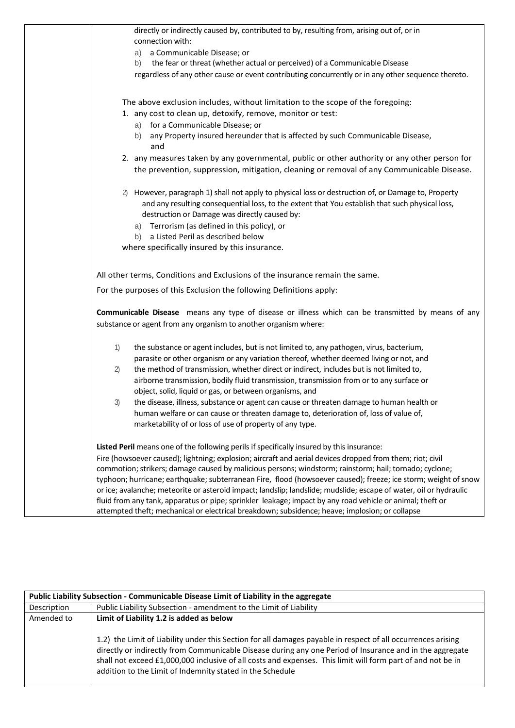| directly or indirectly caused by, contributed to by, resulting from, arising out of, or in                                                     |
|------------------------------------------------------------------------------------------------------------------------------------------------|
| connection with:                                                                                                                               |
| a Communicable Disease; or<br>a)                                                                                                               |
| the fear or threat (whether actual or perceived) of a Communicable Disease<br>b)                                                               |
| regardless of any other cause or event contributing concurrently or in any other sequence thereto.                                             |
|                                                                                                                                                |
| The above exclusion includes, without limitation to the scope of the foregoing:<br>1. any cost to clean up, detoxify, remove, monitor or test: |
| for a Communicable Disease; or                                                                                                                 |
| a)<br>any Property insured hereunder that is affected by such Communicable Disease,<br>b)                                                      |
| and                                                                                                                                            |
| 2. any measures taken by any governmental, public or other authority or any other person for                                                   |
| the prevention, suppression, mitigation, cleaning or removal of any Communicable Disease.                                                      |
|                                                                                                                                                |
| However, paragraph 1) shall not apply to physical loss or destruction of, or Damage to, Property<br>2)                                         |
| and any resulting consequential loss, to the extent that You establish that such physical loss,                                                |
| destruction or Damage was directly caused by:                                                                                                  |
| a) Terrorism (as defined in this policy), or                                                                                                   |
| b) a Listed Peril as described below                                                                                                           |
| where specifically insured by this insurance.                                                                                                  |
|                                                                                                                                                |
| All other terms, Conditions and Exclusions of the insurance remain the same.                                                                   |
| For the purposes of this Exclusion the following Definitions apply:                                                                            |
| Communicable Disease means any type of disease or illness which can be transmitted by means of any                                             |
| substance or agent from any organism to another organism where:                                                                                |
|                                                                                                                                                |
| the substance or agent includes, but is not limited to, any pathogen, virus, bacterium,<br>1)                                                  |
| parasite or other organism or any variation thereof, whether deemed living or not, and                                                         |
| the method of transmission, whether direct or indirect, includes but is not limited to,<br>$\mathbf{2}$                                        |
| airborne transmission, bodily fluid transmission, transmission from or to any surface or                                                       |
| object, solid, liquid or gas, or between organisms, and                                                                                        |
| the disease, illness, substance or agent can cause or threaten damage to human health or<br>3)                                                 |
| human welfare or can cause or threaten damage to, deterioration of, loss of value of,                                                          |
| marketability of or loss of use of property of any type.                                                                                       |
| Listed Peril means one of the following perils if specifically insured by this insurance:                                                      |
| Fire (howsoever caused); lightning; explosion; aircraft and aerial devices dropped from them; riot; civil                                      |
| commotion; strikers; damage caused by malicious persons; windstorm; rainstorm; hail; tornado; cyclone;                                         |
| typhoon; hurricane; earthquake; subterranean Fire, flood (howsoever caused); freeze; ice storm; weight of snow                                 |
| or ice; avalanche; meteorite or asteroid impact; landslip; landslide; mudslide; escape of water, oil or hydraulic                              |
| fluid from any tank, apparatus or pipe; sprinkler leakage; impact by any road vehicle or animal; theft or                                      |
| attempted theft; mechanical or electrical breakdown; subsidence; heave; implosion; or collapse                                                 |

| Public Liability Subsection - Communicable Disease Limit of Liability in the aggregate |                                                                                                                                                                                                                                                                                                                                                                                                      |  |  |  |
|----------------------------------------------------------------------------------------|------------------------------------------------------------------------------------------------------------------------------------------------------------------------------------------------------------------------------------------------------------------------------------------------------------------------------------------------------------------------------------------------------|--|--|--|
| Description                                                                            | Public Liability Subsection - amendment to the Limit of Liability                                                                                                                                                                                                                                                                                                                                    |  |  |  |
| Amended to                                                                             | Limit of Liability 1.2 is added as below                                                                                                                                                                                                                                                                                                                                                             |  |  |  |
|                                                                                        | 1.2) the Limit of Liability under this Section for all damages payable in respect of all occurrences arising<br>directly or indirectly from Communicable Disease during any one Period of Insurance and in the aggregate<br>shall not exceed £1,000,000 inclusive of all costs and expenses. This limit will form part of and not be in<br>addition to the Limit of Indemnity stated in the Schedule |  |  |  |